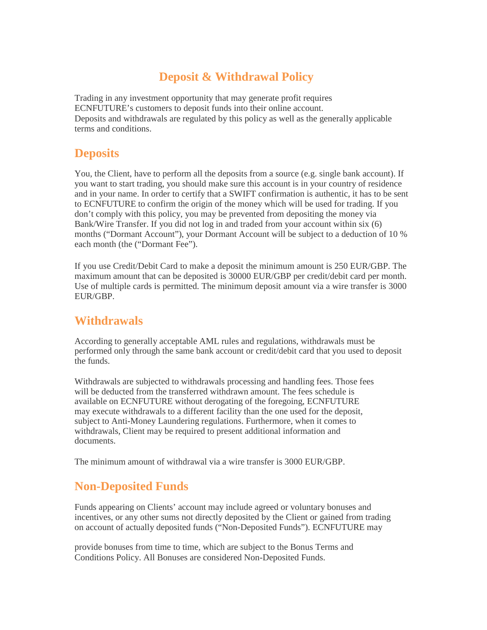# **Deposit & Withdrawal Policy**

Trading in any investment opportunity that may generate profit requires ECNFUTURE's customers to deposit funds into their online account. Deposits and withdrawals are regulated by this policy as well as the generally applicable terms and conditions.

### **Deposits**

You, the Client, have to perform all the deposits from a source (e.g. single bank account). If you want to start trading, you should make sure this account is in your country of residence and in your name. In order to certify that a SWIFT confirmation is authentic, it has to be sent to ECNFUTURE to confirm the origin of the money which will be used for trading. If you don't comply with this policy, you may be prevented from depositing the money via Bank/Wire Transfer. If you did not log in and traded from your account within six (6) months ("Dormant Account"), your Dormant Account will be subject to a deduction of 10 % each month (the ("Dormant Fee").

If you use Credit/Debit Card to make a deposit the minimum amount is 250 EUR/GBP. The maximum amount that can be deposited is 30000 EUR/GBP per credit/debit card per month. Use of multiple cards is permitted. The minimum deposit amount via a wire transfer is 3000 EUR/GBP

## **Withdrawals**

According to generally acceptable AML rules and regulations, withdrawals must be performed only through the same bank account or credit/debit card that you used to deposit the funds.

Withdrawals are subjected to withdrawals processing and handling fees. Those fees will be deducted from the transferred withdrawn amount. The fees schedule is available on ECNFUTURE without derogating of the foregoing, ECNFUTURE may execute withdrawals to a different facility than the one used for the deposit, subject to Anti-Money Laundering regulations. Furthermore, when it comes to withdrawals, Client may be required to present additional information and documents.

The minimum amount of withdrawal via a wire transfer is 3000 EUR/GBP.

# **Non-Deposited Funds**

Funds appearing on Clients' account may include agreed or voluntary bonuses and incentives, or any other sums not directly deposited by the Client or gained from trading on account of actually deposited funds ("Non-Deposited Funds"). ECNFUTURE may

provide bonuses from time to time, which are subject to the Bonus Terms and Conditions Policy. All Bonuses are considered Non-Deposited Funds.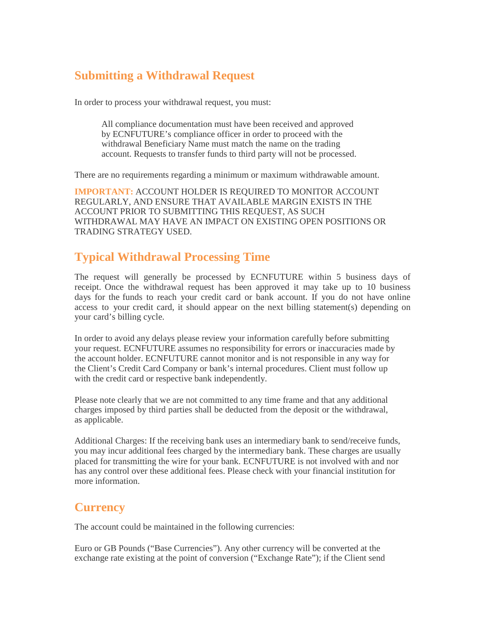## **Submitting a Withdrawal Request**

In order to process your withdrawal request, you must:

All compliance documentation must have been received and approved by ECNFUTURE's compliance officer in order to proceed with the withdrawal Beneficiary Name must match the name on the trading account. Requests to transfer funds to third party will not be processed.

There are no requirements regarding a minimum or maximum withdrawable amount.

**IMPORTANT:** ACCOUNT HOLDER IS REQUIRED TO MONITOR ACCOUNT REGULARLY, AND ENSURE THAT AVAILABLE MARGIN EXISTS IN THE ACCOUNT PRIOR TO SUBMITTING THIS REQUEST, AS SUCH WITHDRAWAL MAY HAVE AN IMPACT ON EXISTING OPEN POSITIONS OR TRADING STRATEGY USED.

## **Typical Withdrawal Processing Time**

The request will generally be processed by ECNFUTURE within 5 business days of receipt. Once the withdrawal request has been approved it may take up to 10 business days for the funds to reach your credit card or bank account. If you do not have online access to your credit card, it should appear on the next billing statement(s) depending on your card's billing cycle.

In order to avoid any delays please review your information carefully before submitting your request. ECNFUTURE assumes no responsibility for errors or inaccuracies made by the account holder. ECNFUTURE cannot monitor and is not responsible in any way for the Client's Credit Card Company or bank's internal procedures. Client must follow up with the credit card or respective bank independently.

Please note clearly that we are not committed to any time frame and that any additional charges imposed by third parties shall be deducted from the deposit or the withdrawal, as applicable.

Additional Charges: If the receiving bank uses an intermediary bank to send/receive funds, you may incur additional fees charged by the intermediary bank. These charges are usually placed for transmitting the wire for your bank. ECNFUTURE is not involved with and nor has any control over these additional fees. Please check with your financial institution for more information.

#### **Currency**

The account could be maintained in the following currencies:

Euro or GB Pounds ("Base Currencies"). Any other currency will be converted at the exchange rate existing at the point of conversion ("Exchange Rate"); if the Client send